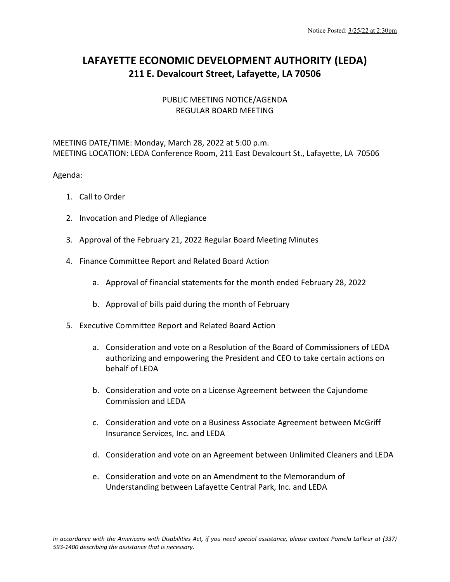## **LAFAYETTE ECONOMIC DEVELOPMENT AUTHORITY (LEDA) 211 E. Devalcourt Street, Lafayette, LA 70506**

## PUBLIC MEETING NOTICE/AGENDA REGULAR BOARD MEETING

## MEETING DATE/TIME: Monday, March 28, 2022 at 5:00 p.m. MEETING LOCATION: LEDA Conference Room, 211 East Devalcourt St., Lafayette, LA 70506

## Agenda:

- 1. Call to Order
- 2. Invocation and Pledge of Allegiance
- 3. Approval of the February 21, 2022 Regular Board Meeting Minutes
- 4. Finance Committee Report and Related Board Action
	- a. Approval of financial statements for the month ended February 28, 2022
	- b. Approval of bills paid during the month of February
- 5. Executive Committee Report and Related Board Action
	- a. Consideration and vote on a Resolution of the Board of Commissioners of LEDA authorizing and empowering the President and CEO to take certain actions on behalf of LEDA
	- b. Consideration and vote on a License Agreement between the Cajundome Commission and LEDA
	- c. Consideration and vote on a Business Associate Agreement between McGriff Insurance Services, Inc. and LEDA
	- d. Consideration and vote on an Agreement between Unlimited Cleaners and LEDA
	- e. Consideration and vote on an Amendment to the Memorandum of Understanding between Lafayette Central Park, Inc. and LEDA